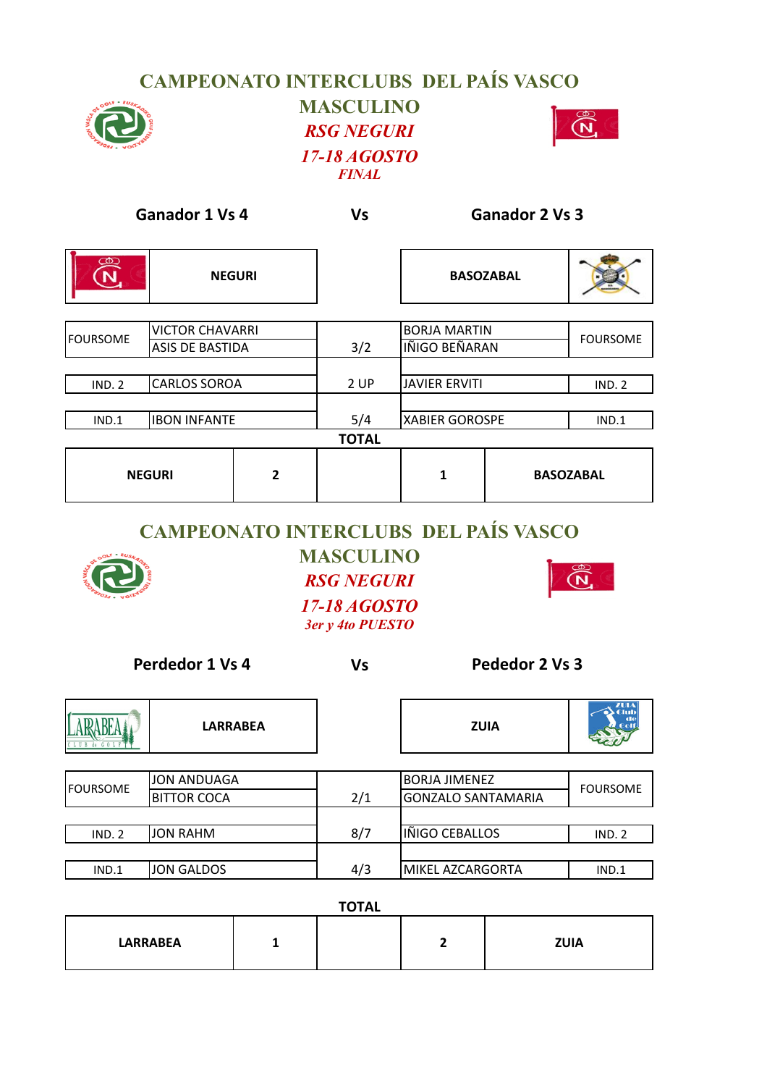## **CAMPEONATO INTERCLUBS DEL PAÍS VASCO MASCULINO** *RSG NEGURI 17-18 AGOSTO FINAL*



| <b>Ganador 1 Vs 4</b>                 |                        | <b>Vs</b>      | <b>Ganador 2 Vs 3</b> |                       |                  |                  |
|---------------------------------------|------------------------|----------------|-----------------------|-----------------------|------------------|------------------|
| $\circledR$<br>$\widehat{\mathsf{N}}$ | <b>NEGURI</b>          |                |                       |                       | <b>BASOZABAL</b> |                  |
| <b>VICTOR CHAVARRI</b>                |                        |                | <b>BORJA MARTIN</b>   |                       |                  |                  |
| <b>FOURSOME</b>                       | <b>ASIS DE BASTIDA</b> |                | 3/2                   | IÑIGO BEÑARAN         |                  | <b>FOURSOME</b>  |
|                                       |                        |                |                       |                       |                  |                  |
| <b>IND. 2</b>                         | <b>CARLOS SOROA</b>    |                | 2 UP                  | <b>JAVIER ERVITI</b>  |                  | <b>IND. 2</b>    |
|                                       |                        |                |                       |                       |                  |                  |
| IND.1                                 | <b>IBON INFANTE</b>    |                | 5/4                   | <b>XABIER GOROSPE</b> |                  | IND.1            |
|                                       |                        |                | <b>TOTAL</b>          |                       |                  |                  |
| <b>NEGURI</b>                         |                        | $\overline{2}$ |                       | 1                     |                  | <b>BASOZABAL</b> |

## **CAMPEONATO INTERCLUBS DEL PAÍS VASCO**



**MASCULINO** *RSG NEGURI*



*17-18 AGOSTO 3er y 4to PUESTO*

**Vs**

**Perdedor 1 Vs 4 Pededor 2 Vs** 

|                 | <b>LARRABEA</b>    |     | <b>ZUIA</b>               | $I$ u<br>$\bullet$ Club |
|-----------------|--------------------|-----|---------------------------|-------------------------|
|                 |                    |     |                           |                         |
|                 | JON ANDUAGA        |     | <b>BORJA JIMENEZ</b>      |                         |
| <b>FOURSOME</b> | <b>BITTOR COCA</b> | 2/1 | <b>GONZALO SANTAMARIA</b> | <b>FOURSOME</b>         |
|                 |                    |     |                           |                         |
| <b>IND. 2</b>   | <b>JON RAHM</b>    | 8/7 | IÑIGO CEBALLOS            | IND. 2                  |
|                 |                    |     |                           |                         |
| IND.1           | JON GALDOS         | 4/3 | MIKEL AZCARGORTA          | IND.1                   |

| <b>TOTAL</b>    |  |  |  |             |  |  |  |
|-----------------|--|--|--|-------------|--|--|--|
| <b>LARRABEA</b> |  |  |  | <b>ZUIA</b> |  |  |  |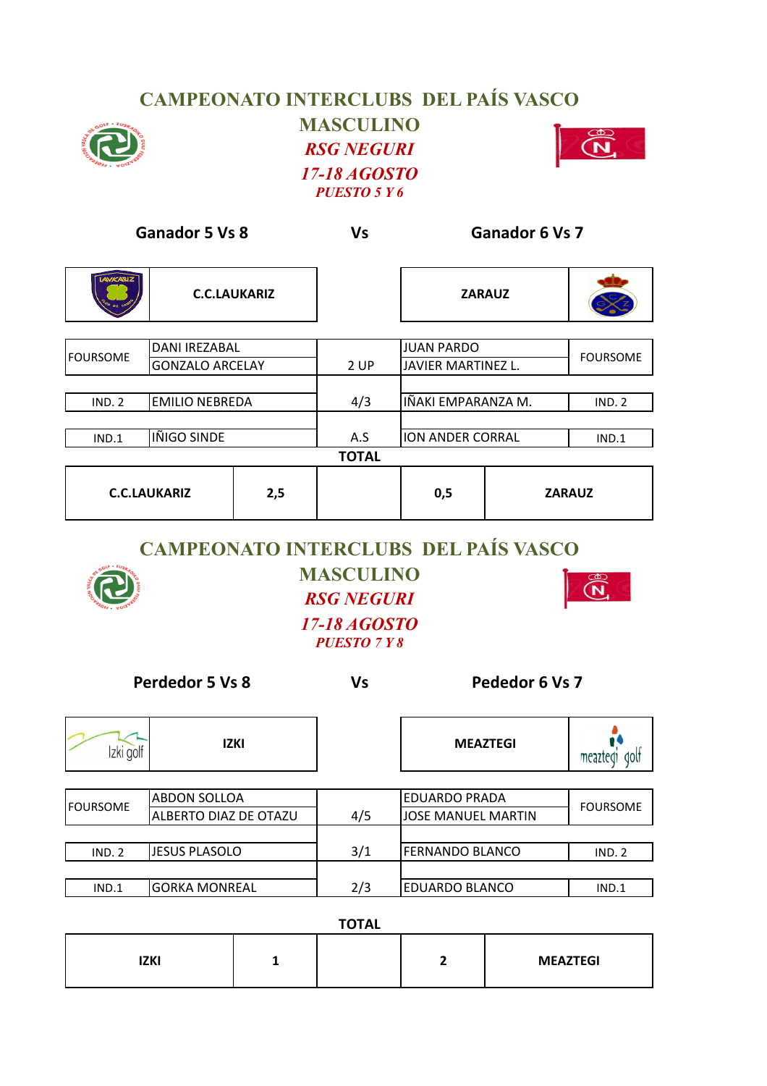## **CAMPEONATO INTERCLUBS DEL PAÍS VASCO**



**MASCULINO** *RSG NEGURI 17-18 AGOSTO PUESTO 5 Y 6*



| <b>Ganador 5 Vs 8</b>                   |                        | Vs  | <b>Ganador 6 Vs 7</b> |                                              |                 |               |
|-----------------------------------------|------------------------|-----|-----------------------|----------------------------------------------|-----------------|---------------|
| <b>LAVICARIZ</b>                        | <b>C.C.LAUKARIZ</b>    |     |                       | <b>ZARAUZ</b>                                |                 |               |
| <b>DANI IREZABAL</b><br><b>FOURSOME</b> |                        |     | <b>JUAN PARDO</b>     |                                              | <b>FOURSOME</b> |               |
|                                         | <b>GONZALO ARCELAY</b> |     | 2 UP                  | JAVIER MARTINEZ L.                           |                 |               |
|                                         |                        |     |                       |                                              |                 |               |
| <b>IND. 2</b>                           | <b>EMILIO NEBREDA</b>  |     | 4/3                   | IÑAKI EMPARANZA M.                           |                 | <b>IND. 2</b> |
|                                         |                        |     |                       |                                              |                 |               |
| IND.1                                   | IÑIGO SINDE            |     | A.S                   | ION ANDER CORRAL                             |                 | IND.1         |
|                                         |                        |     | <b>TOTAL</b>          |                                              |                 |               |
| <b>C.C.LAUKARIZ</b>                     |                        | 2,5 |                       | 0,5                                          |                 | <b>ZARAUZ</b> |
|                                         |                        |     |                       | <b>CAMPEONATO INTERCLIIRS DEL PAÍS VASCO</b> |                 |               |

## **CAMPEONATO INTERCLUBS DEL PAÍS VASCO**



**MASCULINO** *RSG NEGURI 17-18 AGOSTO PUESTO 7 Y 8*



**Perdedor 5 Vs 8 Pededor 6 Vs 7** 

**Vs**

| Izki golf | <b>IZKI</b>           |     | <b>MEAZTEGI</b>           | dolt<br>meazted |
|-----------|-----------------------|-----|---------------------------|-----------------|
|           |                       |     |                           |                 |
| FOURSOME  | <b>ABDON SOLLOA</b>   |     | <b>EDUARDO PRADA</b>      | <b>FOURSOME</b> |
|           | ALBERTO DIAZ DE OTAZU | 4/5 | <b>JOSE MANUEL MARTIN</b> |                 |
|           |                       |     |                           |                 |
| IND. 2    | <b>JESUS PLASOLO</b>  | 3/1 | <b>FERNANDO BLANCO</b>    | IND. 2          |
|           |                       |     |                           |                 |
| IND.1     | <b>GORKA MONREAL</b>  | 2/3 | <b>EDUARDO BLANCO</b>     | IND.1           |

| <b>TOTAL</b> |  |  |  |                 |  |  |
|--------------|--|--|--|-----------------|--|--|
| <b>IZKI</b>  |  |  |  | <b>MEAZTEGI</b> |  |  |